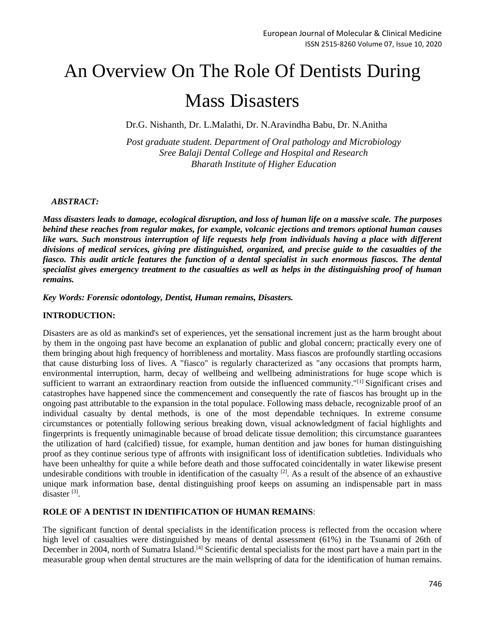# An Overview On The Role Of Dentists During

# Mass Disasters

Dr.G. Nishanth, Dr. L.Malathi, Dr. N.Aravindha Babu, Dr. N.Anitha

*Post graduate student. Department of Oral pathology and Microbiology Sree Balaji Dental College and Hospital and Research Bharath Institute of Higher Education*

### *ABSTRACT:*

*Mass disasters leads to damage, ecological disruption, and loss of human life on a massive scale. The purposes behind these reaches from regular makes, for example, volcanic ejections and tremors optional human causes like wars. Such monstrous interruption of life requests help from individuals having a place with different divisions of medical services, giving pre distinguished, organized, and precise guide to the casualties of the fiasco. This audit article features the function of a dental specialist in such enormous fiascos. The dental specialist gives emergency treatment to the casualties as well as helps in the distinguishing proof of human remains.*

*Key Words: Forensic odontology, Dentist, Human remains, Disasters.*

## **INTRODUCTION:**

Disasters are as old as mankind's set of experiences, yet the sensational increment just as the harm brought about by them in the ongoing past have become an explanation of public and global concern; practically every one of them bringing about high frequency of horribleness and mortality. Mass fiascos are profoundly startling occasions that cause disturbing loss of lives. A "fiasco" is regularly characterized as "any occasions that prompts harm, environmental interruption, harm, decay of wellbeing and wellbeing administrations for huge scope which is sufficient to warrant an extraordinary reaction from outside the influenced community."<sup>[1]</sup> Significant crises and catastrophes have happened since the commencement and consequently the rate of fiascos has brought up in the ongoing past attributable to the expansion in the total populace. Following mass debacle, recognizable proof of an individual casualty by dental methods, is one of the most dependable techniques. In extreme consume circumstances or potentially following serious breaking down, visual acknowledgment of facial highlights and fingerprints is frequently unimaginable because of broad delicate tissue demolition; this circumstance guarantees the utilization of hard (calcified) tissue, for example, human dentition and jaw bones for human distinguishing proof as they continue serious type of affronts with insignificant loss of identification subtleties. Individuals who have been unhealthy for quite a while before death and those suffocated coincidentally in water likewise present undesirable conditions with trouble in identification of the casualty  $[2]$ . As a result of the absence of an exhaustive unique mark information base, dental distinguishing proof keeps on assuming an indispensable part in mass disaster<sup>[3]</sup>.

#### **ROLE OF A DENTIST IN IDENTIFICATION OF HUMAN REMAINS**:

The significant function of dental specialists in the identification process is reflected from the occasion where high level of casualties were distinguished by means of dental assessment (61%) in the Tsunami of 26th of December in 2004, north of Sumatra Island.<sup>[4]</sup> Scientific dental specialists for the most part have a main part in the measurable group when dental structures are the main wellspring of data for the identification of human remains.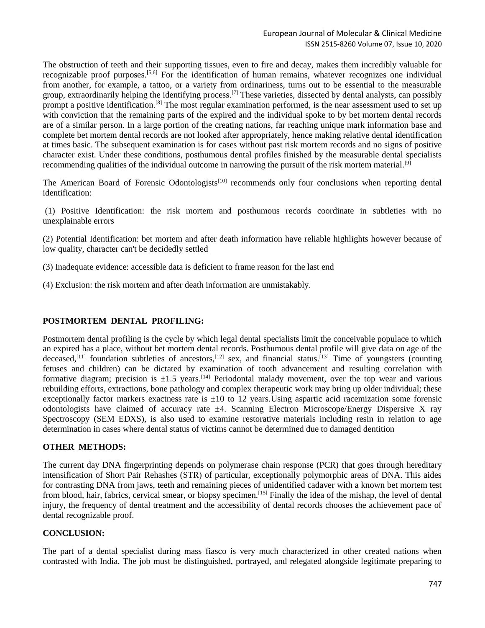The obstruction of teeth and their supporting tissues, even to fire and decay, makes them incredibly valuable for recognizable proof purposes.<sup>[5,6]</sup> For the identification of human remains, whatever recognizes one individual from another, for example, a tattoo, or a variety from ordinariness, turns out to be essential to the measurable group, extraordinarily helping the identifying process.[7] These varieties, dissected by dental analysts, can possibly prompt a positive identification.<sup>[8]</sup> The most regular examination performed, is the near assessment used to set up with conviction that the remaining parts of the expired and the individual spoke to by bet mortem dental records are of a similar person. In a large portion of the creating nations, far reaching unique mark information base and complete bet mortem dental records are not looked after appropriately, hence making relative dental identification at times basic. The subsequent examination is for cases without past risk mortem records and no signs of positive character exist. Under these conditions, posthumous dental profiles finished by the measurable dental specialists recommending qualities of the individual outcome in narrowing the pursuit of the risk mortem material.<sup>[9]</sup>

The American Board of Forensic Odontologists<sup>[10]</sup> recommends only four conclusions when reporting dental identification:

(1) Positive Identification: the risk mortem and posthumous records coordinate in subtleties with no unexplainable errors

(2) Potential Identification: bet mortem and after death information have reliable highlights however because of low quality, character can't be decidedly settled

- (3) Inadequate evidence: accessible data is deficient to frame reason for the last end
- (4) Exclusion: the risk mortem and after death information are unmistakably.

#### **POSTMORTEM DENTAL PROFILING:**

Postmortem dental profiling is the cycle by which legal dental specialists limit the conceivable populace to which an expired has a place, without bet mortem dental records. Posthumous dental profile will give data on age of the deceased,<sup>[11]</sup> foundation subtleties of ancestors,<sup>[12]</sup> sex, and financial status.<sup>[13]</sup> Time of youngsters (counting fetuses and children) can be dictated by examination of tooth advancement and resulting correlation with formative diagram; precision is  $\pm 1.5$  years.<sup>[14]</sup> Periodontal malady movement, over the top wear and various rebuilding efforts, extractions, bone pathology and complex therapeutic work may bring up older individual; these exceptionally factor markers exactness rate is  $\pm 10$  to 12 years. Using aspartic acid racemization some forensic odontologists have claimed of accuracy rate  $\pm 4$ . Scanning Electron Microscope/Energy Dispersive X ray Spectroscopy (SEM EDXS), is also used to examine restorative materials including resin in relation to age determination in cases where dental status of victims cannot be determined due to damaged dentition

#### **OTHER METHODS:**

The current day DNA fingerprinting depends on polymerase chain response (PCR) that goes through hereditary intensification of Short Pair Rehashes (STR) of particular, exceptionally polymorphic areas of DNA. This aides for contrasting DNA from jaws, teeth and remaining pieces of unidentified cadaver with a known bet mortem test from blood, hair, fabrics, cervical smear, or biopsy specimen.<sup>[15]</sup> Finally the idea of the mishap, the level of dental injury, the frequency of dental treatment and the accessibility of dental records chooses the achievement pace of dental recognizable proof.

#### **CONCLUSION:**

The part of a dental specialist during mass fiasco is very much characterized in other created nations when contrasted with India. The job must be distinguished, portrayed, and relegated alongside legitimate preparing to